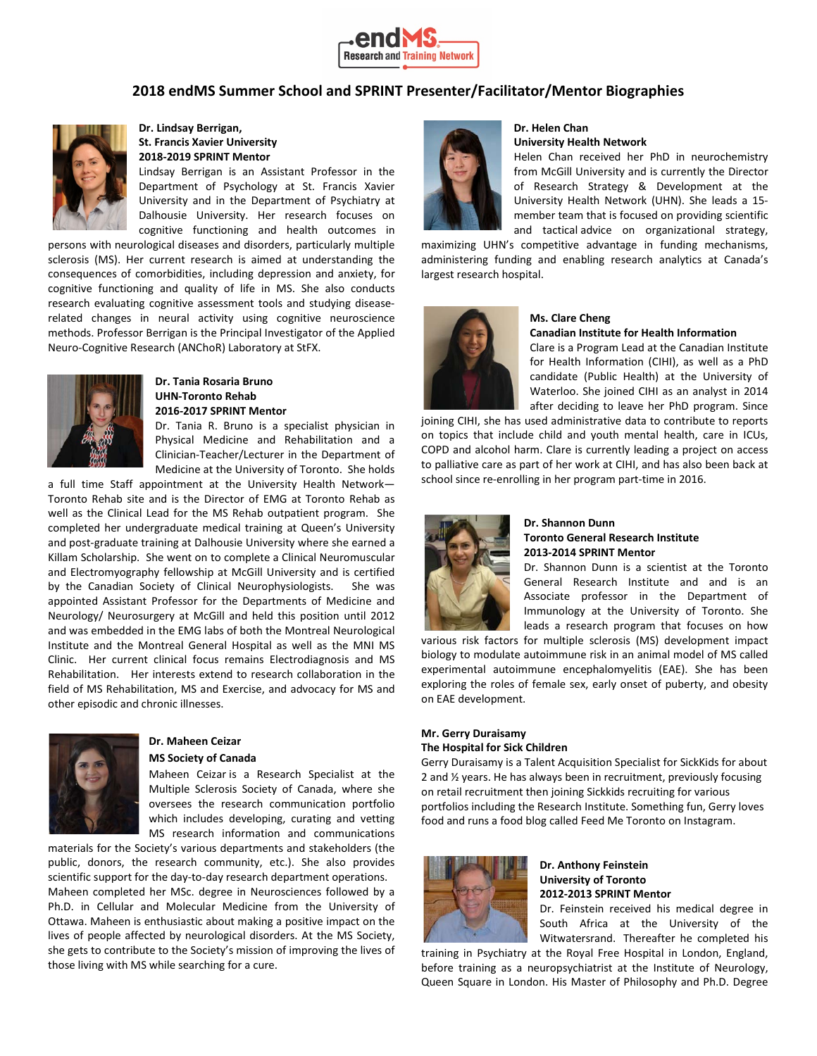

# **2018 endMS Summer School and SPRINT Presenter/Facilitator/Mentor Biographies**



## **Dr. Lindsay Berrigan, St. Francis Xavier University 2018-2019 SPRINT Mentor**

Lindsay Berrigan is an Assistant Professor in the Department of Psychology at St. Francis Xavier University and in the Department of Psychiatry at Dalhousie University. Her research focuses on cognitive functioning and health outcomes in

persons with neurological diseases and disorders, particularly multiple sclerosis (MS). Her current research is aimed at understanding the consequences of comorbidities, including depression and anxiety, for cognitive functioning and quality of life in MS. She also conducts research evaluating cognitive assessment tools and studying diseaserelated changes in neural activity using cognitive neuroscience methods. Professor Berrigan is the Principal Investigator of the Applied Neuro-Cognitive Research (ANChoR) Laboratory at StFX.



## **Dr. Tania Rosaria Bruno UHN-Toronto Rehab 2016-2017 SPRINT Mentor**

Dr. Tania R. Bruno is a specialist physician in Physical Medicine and Rehabilitation and a Clinician-Teacher/Lecturer in the Department of Medicine at the University of Toronto. She holds

a full time Staff appointment at the University Health Network— Toronto Rehab site and is the Director of EMG at Toronto Rehab as well as the Clinical Lead for the MS Rehab outpatient program. She completed her undergraduate medical training at Queen's University and post-graduate training at Dalhousie University where she earned a Killam Scholarship. She went on to complete a Clinical Neuromuscular and Electromyography fellowship at McGill University and is certified by the Canadian Society of Clinical Neurophysiologists. She was appointed Assistant Professor for the Departments of Medicine and Neurology/ Neurosurgery at McGill and held this position until 2012 and was embedded in the EMG labs of both the Montreal Neurological Institute and the Montreal General Hospital as well as the MNI MS Clinic. Her current clinical focus remains Electrodiagnosis and MS Rehabilitation. Her interests extend to research collaboration in the field of MS Rehabilitation, MS and Exercise, and advocacy for MS and other episodic and chronic illnesses.



## **Dr. Maheen Ceizar MS Society of Canada**

Maheen Ceizar is a Research Specialist at the Multiple Sclerosis Society of Canada, where she oversees the research communication portfolio which includes developing, curating and vetting MS research information and communications

materials for the Society's various departments and stakeholders (the public, donors, the research community, etc.). She also provides scientific support for the day-to-day research department operations. Maheen completed her MSc. degree in Neurosciences followed by a Ph.D. in Cellular and Molecular Medicine from the University of Ottawa. Maheen is enthusiastic about making a positive impact on the lives of people affected by neurological disorders. At the MS Society, she gets to contribute to the Society's mission of improving the lives of those living with MS while searching for a cure.



#### **Dr. Helen Chan University Health Network**

Helen Chan received her PhD in neurochemistry from McGill University and is currently the Director of Research Strategy & Development at the University Health Network (UHN). She leads a 15 member team that is focused on providing scientific and tactical advice on organizational strategy,

maximizing UHN's competitive advantage in funding mechanisms, administering funding and enabling research analytics at Canada's largest research hospital.



# **Ms. Clare Cheng**

**Canadian Institute for Health Information**

Clare is a Program Lead at the Canadian Institute for Health Information (CIHI), as well as a PhD candidate (Public Health) at the University of Waterloo. She joined CIHI as an analyst in 2014 after deciding to leave her PhD program. Since

joining CIHI, she has used administrative data to contribute to reports on topics that include child and youth mental health, care in ICUs, COPD and alcohol harm. Clare is currently leading a project on access to palliative care as part of her work at CIHI, and has also been back at school since re-enrolling in her program part-time in 2016.



## **Dr. Shannon Dunn Toronto General Research Institute 2013-2014 SPRINT Mentor**

Dr. Shannon Dunn is a scientist at the Toronto General Research Institute and and is an Associate professor in the Department of Immunology at the University of Toronto. She leads a research program that focuses on how

various risk factors for multiple sclerosis (MS) development impact biology to modulate autoimmune risk in an animal model of MS called experimental autoimmune encephalomyelitis (EAE). She has been exploring the roles of female sex, early onset of puberty, and obesity on EAE development.

# **Mr. Gerry Duraisamy The Hospital for Sick Children**

Gerry Duraisamy is a Talent Acquisition Specialist for SickKids for about 2 and ½ years. He has always been in recruitment, previously focusing on retail recruitment then joining Sickkids recruiting for various portfolios including the Research Institute. Something fun, Gerry loves food and runs a food blog called Feed Me Toronto on Instagram.



## **Dr. Anthony Feinstein University of Toronto 2012-2013 SPRINT Mentor**

Dr. Feinstein received his medical degree in South Africa at the University of the Witwatersrand. Thereafter he completed his

training in Psychiatry at the Royal Free Hospital in London, England, before training as a neuropsychiatrist at the Institute of Neurology, Queen Square in London. His Master of Philosophy and Ph.D. Degree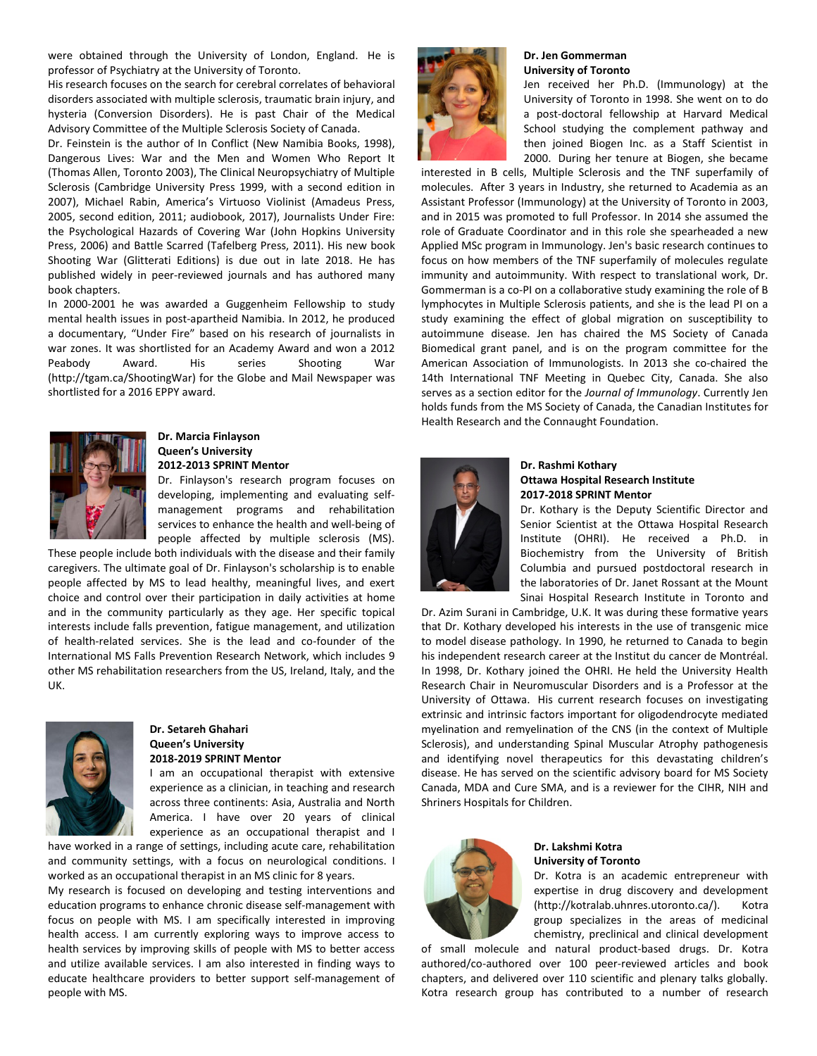were obtained through the University of London, England. He is professor of Psychiatry at the University of Toronto.

His research focuses on the search for cerebral correlates of behavioral disorders associated with multiple sclerosis, traumatic brain injury, and hysteria (Conversion Disorders). He is past Chair of the Medical Advisory Committee of the Multiple Sclerosis Society of Canada.

Dr. Feinstein is the author of In Conflict (New Namibia Books, 1998), Dangerous Lives: War and the Men and Women Who Report It (Thomas Allen, Toronto 2003), The Clinical Neuropsychiatry of Multiple Sclerosis (Cambridge University Press 1999, with a second edition in 2007), Michael Rabin, America's Virtuoso Violinist (Amadeus Press, 2005, second edition, 2011; audiobook, 2017), Journalists Under Fire: the Psychological Hazards of Covering War (John Hopkins University Press, 2006) and Battle Scarred (Tafelberg Press, 2011). His new book Shooting War (Glitterati Editions) is due out in late 2018. He has published widely in peer-reviewed journals and has authored many book chapters.

In 2000-2001 he was awarded a Guggenheim Fellowship to study mental health issues in post-apartheid Namibia. In 2012, he produced a documentary, "Under Fire" based on his research of journalists in war zones. It was shortlisted for an Academy Award and won a 2012 Peabody Award. His series Shooting War (http://tgam.ca/ShootingWar) for the Globe and Mail Newspaper was shortlisted for a 2016 EPPY award.



### **Dr. Marcia Finlayson Queen's University 2012-2013 SPRINT Mentor**

Dr. Finlayson's research program focuses on developing, implementing and evaluating selfmanagement programs and rehabilitation services to enhance the health and well-being of people affected by multiple sclerosis (MS).

These people include both individuals with the disease and their family caregivers. The ultimate goal of Dr. Finlayson's scholarship is to enable people affected by MS to lead healthy, meaningful lives, and exert choice and control over their participation in daily activities at home and in the community particularly as they age. Her specific topical interests include falls prevention, fatigue management, and utilization of health-related services. She is the lead and co-founder of the International MS Falls Prevention Research Network, which includes 9 other MS rehabilitation researchers from the US, Ireland, Italy, and the UK.



### **Dr. Setareh Ghahari Queen's University 2018-2019 SPRINT Mentor**

I am an occupational therapist with extensive experience as a clinician, in teaching and research across three continents: Asia, Australia and North America. I have over 20 years of clinical experience as an occupational therapist and I

have worked in a range of settings, including acute care, rehabilitation and community settings, with a focus on neurological conditions. I worked as an occupational therapist in an MS clinic for 8 years.

My research is focused on developing and testing interventions and education programs to enhance chronic disease self-management with focus on people with MS. I am specifically interested in improving health access. I am currently exploring ways to improve access to health services by improving skills of people with MS to better access and utilize available services. I am also interested in finding ways to educate healthcare providers to better support self-management of people with MS.



# **Dr. Jen Gommerman University of Toronto**

Jen received her Ph.D. (Immunology) at the University of Toronto in 1998. She went on to do a post-doctoral fellowship at Harvard Medical School studying the complement pathway and then joined Biogen Inc. as a Staff Scientist in 2000. During her tenure at Biogen, she became

interested in B cells, Multiple Sclerosis and the TNF superfamily of molecules. After 3 years in Industry, she returned to Academia as an Assistant Professor (Immunology) at the University of Toronto in 2003, and in 2015 was promoted to full Professor. In 2014 she assumed the role of Graduate Coordinator and in this role she spearheaded a new Applied MSc program in Immunology. Jen's basic research continues to focus on how members of the TNF superfamily of molecules regulate immunity and autoimmunity. With respect to translational work, Dr. Gommerman is a co-PI on a collaborative study examining the role of B lymphocytes in Multiple Sclerosis patients, and she is the lead PI on a study examining the effect of global migration on susceptibility to autoimmune disease. Jen has chaired the MS Society of Canada Biomedical grant panel, and is on the program committee for the American Association of Immunologists. In 2013 she co-chaired the 14th International TNF Meeting in Quebec City, Canada. She also serves as a section editor for the *Journal of Immunology*. Currently Jen holds funds from the MS Society of Canada, the Canadian Institutes for Health Research and the Connaught Foundation.



### **Dr. Rashmi Kothary Ottawa Hospital Research Institute 2017-2018 SPRINT Mentor**

Dr. Kothary is the Deputy Scientific Director and Senior Scientist at the Ottawa Hospital Research Institute (OHRI). He received a Ph.D. in Biochemistry from the University of British Columbia and pursued postdoctoral research in the laboratories of Dr. Janet Rossant at the Mount Sinai Hospital Research Institute in Toronto and

Dr. Azim Surani in Cambridge, U.K. It was during these formative years that Dr. Kothary developed his interests in the use of transgenic mice to model disease pathology. In 1990, he returned to Canada to begin his independent research career at the Institut du cancer de Montréal. In 1998, Dr. Kothary joined the OHRI. He held the University Health Research Chair in Neuromuscular Disorders and is a Professor at the University of Ottawa. His current research focuses on investigating extrinsic and intrinsic factors important for oligodendrocyte mediated myelination and remyelination of the CNS (in the context of Multiple Sclerosis), and understanding Spinal Muscular Atrophy pathogenesis and identifying novel therapeutics for this devastating children's disease. He has served on the scientific advisory board for MS Society Canada, MDA and Cure SMA, and is a reviewer for the CIHR, NIH and Shriners Hospitals for Children.



# **Dr. Lakshmi Kotra University of Toronto**

Dr. Kotra is an academic entrepreneur with expertise in drug discovery and development (http://kotralab.uhnres.utoronto.ca/). Kotra group specializes in the areas of medicinal chemistry, preclinical and clinical development

of small molecule and natural product-based drugs. Dr. Kotra authored/co-authored over 100 peer-reviewed articles and book chapters, and delivered over 110 scientific and plenary talks globally. Kotra research group has contributed to a number of research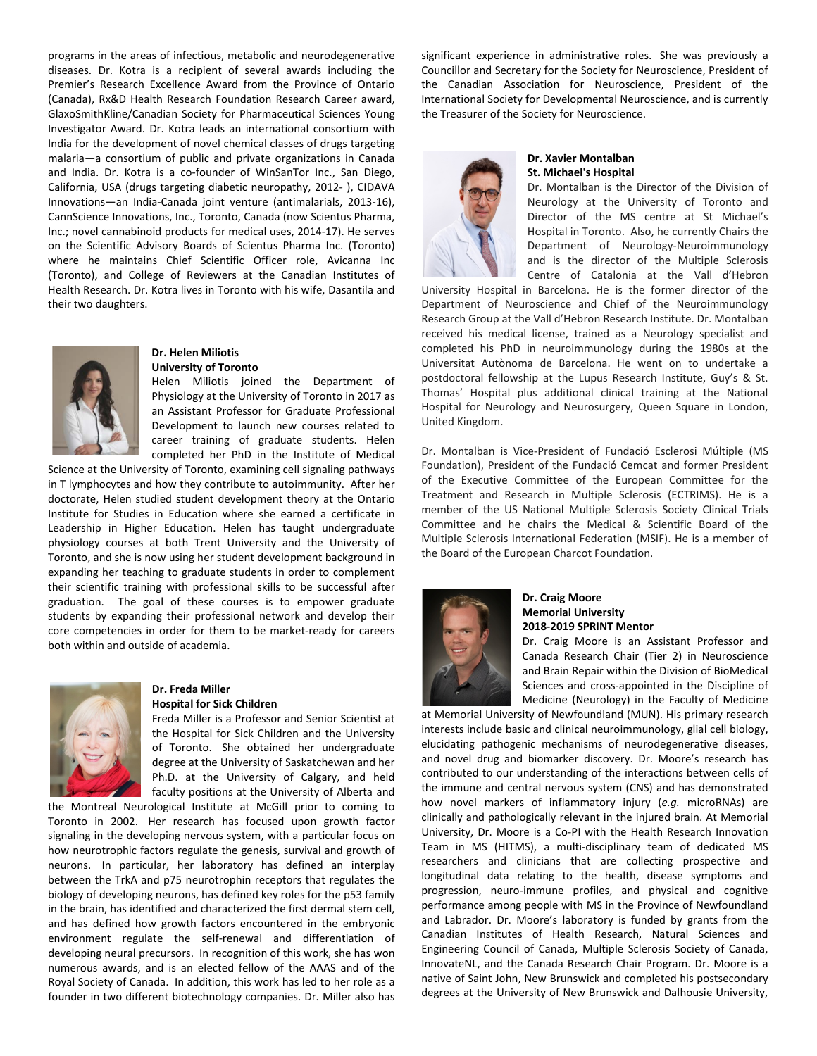programs in the areas of infectious, metabolic and neurodegenerative diseases. Dr. Kotra is a recipient of several awards including the Premier's Research Excellence Award from the Province of Ontario (Canada), Rx&D Health Research Foundation Research Career award, GlaxoSmithKline/Canadian Society for Pharmaceutical Sciences Young Investigator Award. Dr. Kotra leads an international consortium with India for the development of novel chemical classes of drugs targeting malaria—a consortium of public and private organizations in Canada and India. Dr. Kotra is a co-founder of WinSanTor Inc., San Diego, California, USA (drugs targeting diabetic neuropathy, 2012- ), CIDAVA Innovations—an India-Canada joint venture (antimalarials, 2013-16), CannScience Innovations, Inc., Toronto, Canada (now Scientus Pharma, Inc.; novel cannabinoid products for medical uses, 2014-17). He serves on the Scientific Advisory Boards of Scientus Pharma Inc. (Toronto) where he maintains Chief Scientific Officer role, Avicanna Inc (Toronto), and College of Reviewers at the Canadian Institutes of Health Research. Dr. Kotra lives in Toronto with his wife, Dasantila and their two daughters.



#### **Dr. Helen Miliotis University of Toronto**

Helen Miliotis joined the Department of Physiology at the University of Toronto in 2017 as an Assistant Professor for Graduate Professional Development to launch new courses related to career training of graduate students. Helen completed her PhD in the Institute of Medical

Science at the University of Toronto, examining cell signaling pathways in T lymphocytes and how they contribute to autoimmunity. After her doctorate, Helen studied student development theory at the Ontario Institute for Studies in Education where she earned a certificate in Leadership in Higher Education. Helen has taught undergraduate physiology courses at both Trent University and the University of Toronto, and she is now using her student development background in expanding her teaching to graduate students in order to complement their scientific training with professional skills to be successful after graduation. The goal of these courses is to empower graduate students by expanding their professional network and develop their core competencies in order for them to be market-ready for careers both within and outside of academia.



#### **Dr. Freda Miller Hospital for Sick Children**

Freda Miller is a Professor and Senior Scientist at the Hospital for Sick Children and the University of Toronto. She obtained her undergraduate degree at the University of Saskatchewan and her Ph.D. at the University of Calgary, and held faculty positions at the University of Alberta and

the Montreal Neurological Institute at McGill prior to coming to Toronto in 2002. Her research has focused upon growth factor signaling in the developing nervous system, with a particular focus on how neurotrophic factors regulate the genesis, survival and growth of neurons. In particular, her laboratory has defined an interplay between the TrkA and p75 neurotrophin receptors that regulates the biology of developing neurons, has defined key roles for the p53 family in the brain, has identified and characterized the first dermal stem cell, and has defined how growth factors encountered in the embryonic environment regulate the self-renewal and differentiation of developing neural precursors. In recognition of this work, she has won numerous awards, and is an elected fellow of the AAAS and of the Royal Society of Canada. In addition, this work has led to her role as a founder in two different biotechnology companies. Dr. Miller also has

significant experience in administrative roles. She was previously a Councillor and Secretary for the Society for Neuroscience, President of the Canadian Association for Neuroscience, President of the International Society for Developmental Neuroscience, and is currently the Treasurer of the Society for Neuroscience.



#### **Dr. Xavier Montalban St. Michael's Hospital**

Dr. Montalban is the Director of the Division of Neurology at the University of Toronto and Director of the MS centre at St Michael's Hospital in Toronto. Also, he currently Chairs the Department of Neurology-Neuroimmunology and is the director of the Multiple Sclerosis Centre of Catalonia at the Vall d'Hebron

University Hospital in Barcelona. He is the former director of the Department of Neuroscience and Chief of the Neuroimmunology Research Group at the Vall d'Hebron Research Institute. Dr. Montalban received his medical license, trained as a Neurology specialist and completed his PhD in neuroimmunology during the 1980s at the Universitat Autònoma de Barcelona. He went on to undertake a postdoctoral fellowship at the Lupus Research Institute, Guy's & St. Thomas' Hospital plus additional clinical training at the National Hospital for Neurology and Neurosurgery, Queen Square in London, United Kingdom.

Dr. Montalban is Vice-President of Fundació Esclerosi Múltiple (MS Foundation), President of the Fundació Cemcat and former President of the Executive Committee of the European Committee for the Treatment and Research in Multiple Sclerosis (ECTRIMS). He is a member of the US National Multiple Sclerosis Society Clinical Trials Committee and he chairs the Medical & Scientific Board of the Multiple Sclerosis International Federation (MSIF). He is a member of the Board of the European Charcot Foundation.



# **Dr. Craig Moore Memorial University 2018-2019 SPRINT Mentor**

Dr. Craig Moore is an Assistant Professor and Canada Research Chair (Tier 2) in Neuroscience and Brain Repair within the Division of BioMedical Sciences and cross-appointed in the Discipline of Medicine (Neurology) in the Faculty of Medicine

at Memorial University of Newfoundland (MUN). His primary research interests include basic and clinical neuroimmunology, glial cell biology, elucidating pathogenic mechanisms of neurodegenerative diseases, and novel drug and biomarker discovery. Dr. Moore's research has contributed to our understanding of the interactions between cells of the immune and central nervous system (CNS) and has demonstrated how novel markers of inflammatory injury (*e.g.* microRNAs) are clinically and pathologically relevant in the injured brain. At Memorial University, Dr. Moore is a Co-PI with the Health Research Innovation Team in MS (HITMS), a multi-disciplinary team of dedicated MS researchers and clinicians that are collecting prospective and longitudinal data relating to the health, disease symptoms and progression, neuro-immune profiles, and physical and cognitive performance among people with MS in the Province of Newfoundland and Labrador. Dr. Moore's laboratory is funded by grants from the Canadian Institutes of Health Research, Natural Sciences and Engineering Council of Canada, Multiple Sclerosis Society of Canada, InnovateNL, and the Canada Research Chair Program. Dr. Moore is a native of Saint John, New Brunswick and completed his postsecondary degrees at the University of New Brunswick and Dalhousie University,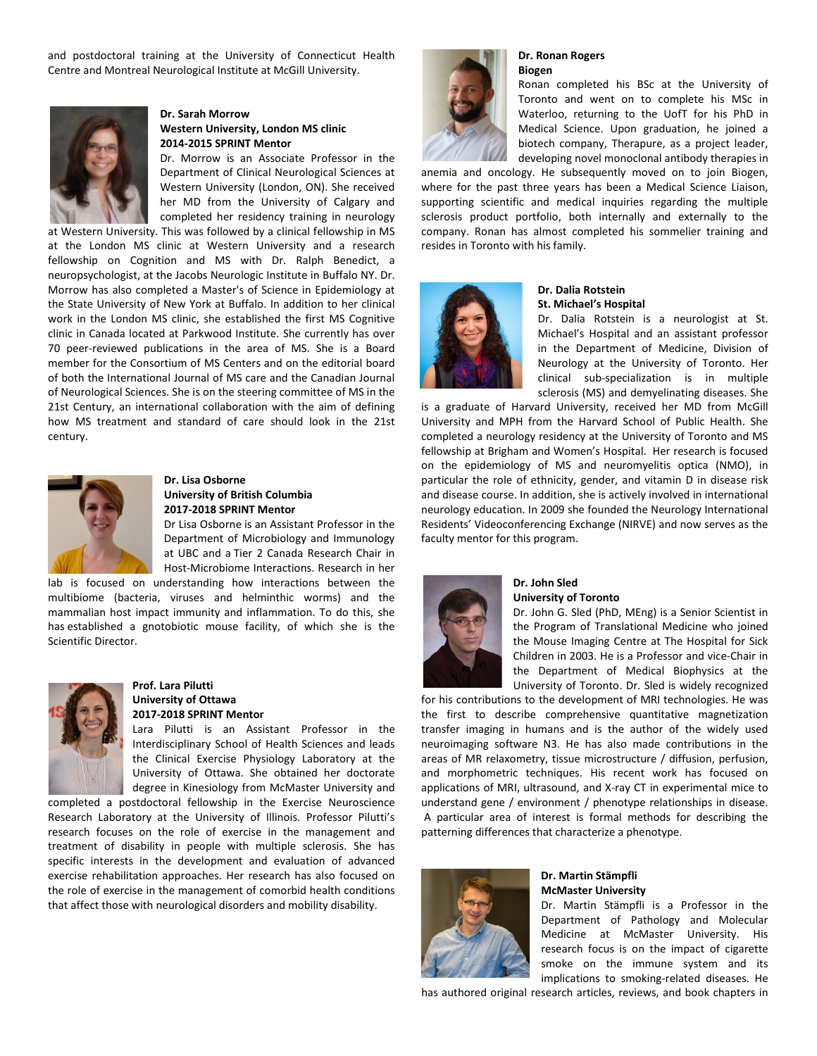and postdoctoral training at the University of Connecticut Health Centre and Montreal Neurological Institute at McGill University.



## **Dr. Sarah Morrow Western University, London MS clinic 2014-2015 SPRINT Mentor**

Dr. Morrow is an Associate Professor in the Department of Clinical Neurological Sciences at Western University (London, ON). She received her MD from the University of Calgary and completed her residency training in neurology

at Western University. This was followed by a clinical fellowship in MS at the London MS clinic at Western University and a research fellowship on Cognition and MS with Dr. Ralph Benedict, a neuropsychologist, at the Jacobs Neurologic Institute in Buffalo NY. Dr. Morrow has also completed a Master's of Science in Epidemiology at the State University of New York at Buffalo. In addition to her clinical work in the London MS clinic, she established the first MS Cognitive clinic in Canada located at Parkwood Institute. She currently has over 70 peer-reviewed publications in the area of MS. She is a Board member for the Consortium of MS Centers and on the editorial board of both the International Journal of MS care and the Canadian Journal of Neurological Sciences. She is on the steering committee of MS in the 21st Century, an international collaboration with the aim of defining how MS treatment and standard of care should look in the 21st century.



#### **Dr. Lisa Osborne University of British Columbia 2017-2018 SPRINT Mentor**

Dr Lisa Osborne is an Assistant Professor in the Department of Microbiology and Immunology at UBC and a Tier 2 Canada Research Chair in Host-Microbiome Interactions. Research in her

lab is focused on understanding how interactions between the multibiome (bacteria, viruses and helminthic worms) and the mammalian host impact immunity and inflammation. To do this, she has established a gnotobiotic mouse facility, of which she is the Scientific Director.



## **Prof. Lara Pilutti University of Ottawa 2017-2018 SPRINT Mentor**

Lara Pilutti is an Assistant Professor in the Interdisciplinary School of Health Sciences and leads the Clinical Exercise Physiology Laboratory at the University of Ottawa. She obtained her doctorate degree in Kinesiology from McMaster University and

completed a postdoctoral fellowship in the Exercise Neuroscience Research Laboratory at the University of Illinois. Professor Pilutti's research focuses on the role of exercise in the management and treatment of disability in people with multiple sclerosis. She has specific interests in the development and evaluation of advanced exercise rehabilitation approaches. Her research has also focused on the role of exercise in the management of comorbid health conditions that affect those with neurological disorders and mobility disability.



#### **Dr. Ronan Rogers Biogen**

Ronan completed his BSc at the University of Toronto and went on to complete his MSc in Waterloo, returning to the UofT for his PhD in Medical Science. Upon graduation, he joined a biotech company, Therapure, as a project leader, developing novel monoclonal antibody therapies in

anemia and oncology. He subsequently moved on to join Biogen, where for the past three years has been a Medical Science Liaison, supporting scientific and medical inquiries regarding the multiple sclerosis product portfolio, both internally and externally to the company. Ronan has almost completed his sommelier training and resides in Toronto with his family.



#### **Dr. Dalia Rotstein St. Michael's Hospital**

Dr. Dalia Rotstein is a neurologist at St. Michael's Hospital and an assistant professor in the Department of Medicine, Division of Neurology at the University of Toronto. Her clinical sub-specialization is in multiple sclerosis (MS) and demyelinating diseases. She

is a graduate of Harvard University, received her MD from McGill University and MPH from the Harvard School of Public Health. She completed a neurology residency at the University of Toronto and MS fellowship at Brigham and Women's Hospital. Her research is focused on the epidemiology of MS and neuromyelitis optica (NMO), in particular the role of ethnicity, gender, and vitamin D in disease risk and disease course. In addition, she is actively involved in international neurology education. In 2009 she founded the Neurology International Residents' Videoconferencing Exchange (NIRVE) and now serves as the faculty mentor for this program.



#### **Dr. John Sled University of Toronto**

Dr. John G. Sled (PhD, MEng) is a Senior Scientist in the Program of Translational Medicine who joined the Mouse Imaging Centre at The Hospital for Sick Children in 2003. He is a Professor and vice-Chair in the Department of Medical Biophysics at the University of Toronto. Dr. Sled is widely recognized

for his contributions to the development of MRI technologies. He was the first to describe comprehensive quantitative magnetization transfer imaging in humans and is the author of the widely used neuroimaging software N3. He has also made contributions in the areas of MR relaxometry, tissue microstructure / diffusion, perfusion, and morphometric techniques. His recent work has focused on applications of MRI, ultrasound, and X-ray CT in experimental mice to understand gene / environment / phenotype relationships in disease. A particular area of interest is formal methods for describing the patterning differences that characterize a phenotype.



#### **Dr. Martin Stämpfli McMaster University**

Dr. Martin Stämpfli is a Professor in the Department of Pathology and Molecular Medicine at McMaster University. His research focus is on the impact of cigarette smoke on the immune system and its implications to smoking-related diseases. He

has authored original research articles, reviews, and book chapters in